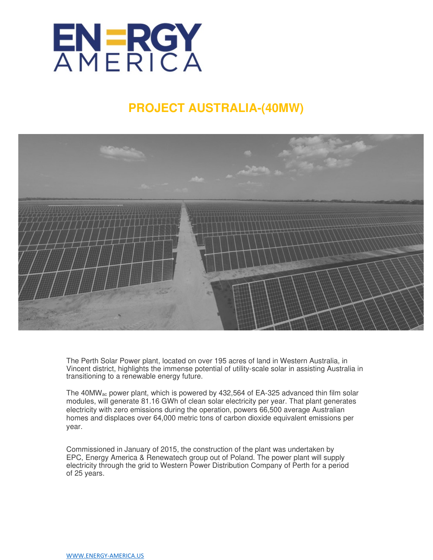

# **PROJECT AUSTRALIA-(40MW)**



The Perth Solar Power plant, located on over 195 acres of land in Western Australia, in Vincent district, highlights the immense potential of utility-scale solar in assisting Australia in transitioning to a renewable energy future.

The 40MWac power plant, which is powered by 432,564 of EA-325 advanced thin film solar modules, will generate 81.16 GWh of clean solar electricity per year. That plant generates electricity with zero emissions during the operation, powers 66,500 average Australian homes and displaces over 64,000 metric tons of carbon dioxide equivalent emissions per year.

Commissioned in January of 2015, the construction of the plant was undertaken by EPC, Energy America & Renewatech group out of Poland. The power plant will supply electricity through the grid to Western Power Distribution Company of Perth for a period of 25 years.